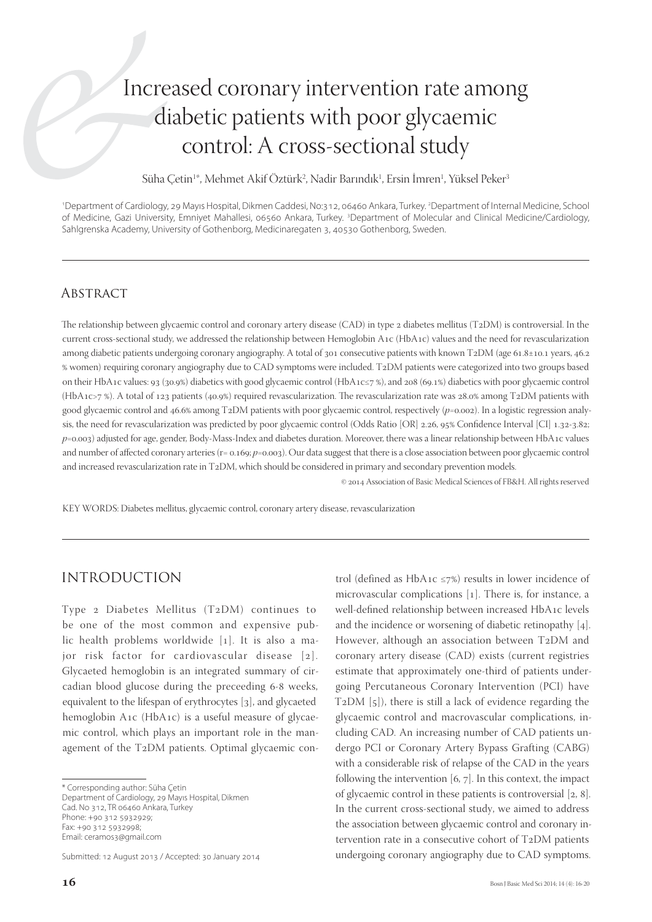# Increased coronary intervention rate among diabetic patients with poor glycaemic control: A cross-sectional study

Süha Çetin<sup>ı</sup>\*, Mehmet Akif Öztürk<sup>2</sup>, Nadir Barındık<sup>ı</sup>, Ersin İmren<sup>ı</sup>, Yüksel Peker<sup>3</sup>

1 Department of Cardiology, 29 Mayıs Hospital, Dikmen Caddesi, No:312, 06460 Ankara, Turkey. 2 Department of Internal Medicine, School of Medicine, Gazi University, Emniyet Mahallesi, 06560 Ankara, Turkey. <sup>3</sup>Department of Molecular and Clinical Medicine/Cardiology, Sahlgrenska Academy, University of Gothenborg, Medicinaregaten 3, 40530 Gothenborg, Sweden.

# **ABSTRACT**

The relationship between glycaemic control and coronary artery disease (CAD) in type 2 diabetes mellitus (T2DM) is controversial. In the current cross-sectional study, we addressed the relationship between Hemoglobin A1c (HbA1c) values and the need for revascularization among diabetic patients undergoing coronary angiography. A total of 301 consecutive patients with known T2DM (age 61.8±10.1 years, 46.2 women) requiring coronary angiography due to CAD symptoms were included. TDM patients were categorized into two groups based on their HbA1c values: 93 (30.9%) diabetics with good glycaemic control (HbA1c≤7%), and 208 (69.1%) diabetics with poor glycaemic control (HbA1c>7 %). A total of 123 patients (40.9%) required revascularization. The revascularization rate was 28.0% among T2DM patients with good glycaemic control and 46.6% among T2DM patients with poor glycaemic control, respectively ( $p=0.002$ ). In a logistic regression analysis, the need for revascularization was predicted by poor glycaemic control (Odds Ratio [OR] 2.26, 95% Confidence Interval [CI] 1.32-3.82; *p*=0.003) adjusted for age, gender, Body-Mass-Index and diabetes duration. Moreover, there was a linear relationship between HbA1c values and number of affected coronary arteries (r= 0.169;  $p$ =0.003). Our data suggest that there is a close association between poor glycaemic control and increased revascularization rate in T2DM, which should be considered in primary and secondary prevention models.

© 2014 Association of Basic Medical Sciences of FB&H. All rights reserved

KEY WORDS: Diabetes mellitus, glycaemic control, coronary artery disease, revascularization

### INTRODUCTION

Type 2 Diabetes Mellitus  $(T_2DM)$  continues to be one of the most common and expensive public health problems worldwide  $[1]$ . It is also a major risk factor for cardiovascular disease [2]. Glycaeted hemoglobin is an integrated summary of circadian blood glucose during the preceeding 6-8 weeks, equivalent to the lifespan of erythrocytes  $[3]$ , and glycaeted hemoglobin A1c (HbA1c) is a useful measure of glycaemic control, which plays an important role in the management of the T2DM patients. Optimal glycaemic con-

\* Corresponding author: Süha Çetin Department of Cardiology, 29 Mayıs Hospital, Dikmen Cad. No 312, TR 06460 Ankara, Turkey Phone: +90 312 5932929; Fax: +90 312 5932998; Email: ceramos3@gmail.com

Submitted: 12 August 2013 / Accepted: 30 January 2014

trol (defined as HbA1c  $\leq$ 7%) results in lower incidence of microvascular complications  $[1]$ . There is, for instance, a well-defined relationship between increased HbA1c levels and the incidence or worsening of diabetic retinopathy  $[4]$ . However, although an association between T2DM and coronary artery disease (CAD) exists (current registries estimate that approximately one-third of patients undergoing Percutaneous Coronary Intervention (PCI) have T<sub>2</sub>DM  $[5]$ ), there is still a lack of evidence regarding the glycaemic control and macrovascular complications, including CAD. An increasing number of CAD patients undergo PCI or Coronary Artery Bypass Grafting (CABG) with a considerable risk of relapse of the CAD in the years following the intervention  $[6, 7]$ . In this context, the impact of glycaemic control in these patients is controversial  $[2, 8]$ . In the current cross-sectional study, we aimed to address the association between glycaemic control and coronary intervention rate in a consecutive cohort of  $T_2DM$  patients undergoing coronary angiography due to CAD symptoms.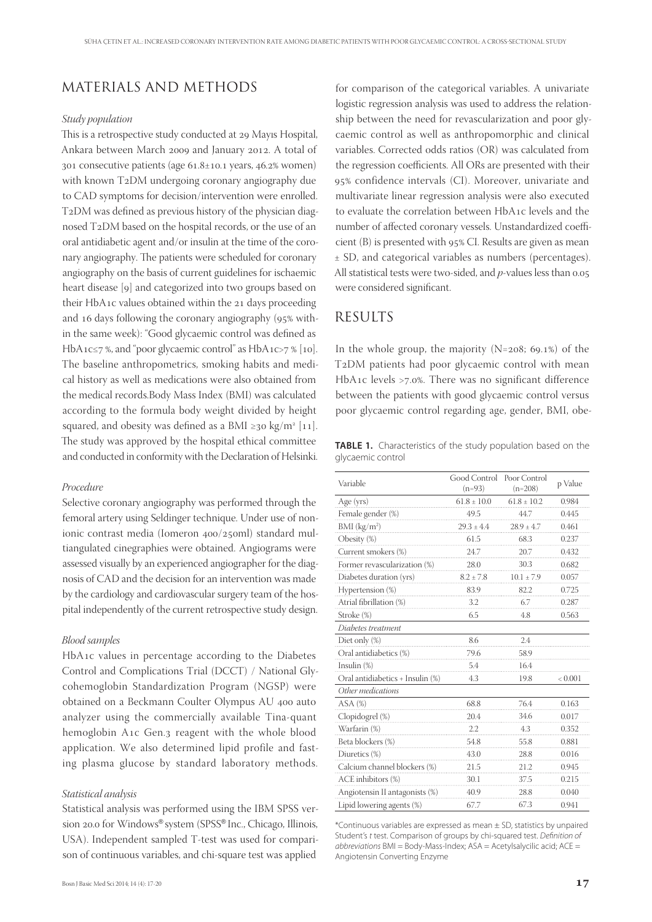# MATERIALS AND METHODS

#### *Study population*

This is a retrospective study conducted at 29 Mayıs Hospital, Ankara between March 2009 and January 2012. A total of 301 consecutive patients (age  $61.8 \pm 10.1$  years,  $46.2\%$  women) with known T2DM undergoing coronary angiography due to CAD symptoms for decision/intervention were enrolled. T2DM was defined as previous history of the physician diagnosed T2DM based on the hospital records, or the use of an oral antidiabetic agent and/or insulin at the time of the coronary angiography. The patients were scheduled for coronary angiography on the basis of current guidelines for ischaemic heart disease [9] and categorized into two groups based on their HbA1c values obtained within the 21 days proceeding and 16 days following the coronary angiography ( $95\%$  within the same week): "Good glycaemic control was defined as HbA1c≤7 %, and "poor glycaemic control" as HbA1c>7 % [10]. The baseline anthropometrics, smoking habits and medical history as well as medications were also obtained from the medical records.Body Mass Index (BMI) was calculated according to the formula body weight divided by height squared, and obesity was defined as a BMI  $\geq$ 30 kg/m<sup>2</sup> [11]. The study was approved by the hospital ethical committee and conducted in conformity with the Declaration of Helsinki.

#### *Procedure*

Selective coronary angiography was performed through the femoral artery using Seldinger technique. Under use of nonionic contrast media (Iomeron 400/250ml) standard multiangulated cinegraphies were obtained. Angiograms were assessed visually by an experienced angiographer for the diagnosis of CAD and the decision for an intervention was made by the cardiology and cardiovascular surgery team of the hospital independently of the current retrospective study design.

#### *Blood samples*

HbA1c values in percentage according to the Diabetes Control and Complications Trial (DCCT) / National Glycohemoglobin Standardization Program (NGSP) were obtained on a Beckmann Coulter Olympus AU 400 auto analyzer using the commercially available Tina-quant hemoglobin A1c Gen.3 reagent with the whole blood application. We also determined lipid profile and fasting plasma glucose by standard laboratory methods.

#### *Statistical analysis*

Statistical analysis was performed using the IBM SPSS version 20.0 for Windows® system (SPSS® Inc., Chicago, Illinois, USA). Independent sampled T-test was used for comparison of continuous variables, and chi-square test was applied

for comparison of the categorical variables. A univariate logistic regression analysis was used to address the relationship between the need for revascularization and poor glycaemic control as well as anthropomorphic and clinical variables. Corrected odds ratios (OR) was calculated from the regression coefficients. All ORs are presented with their 95% confidence intervals (CI). Moreover, univariate and multivariate linear regression analysis were also executed to evaluate the correlation between HbA1c levels and the number of affected coronary vessels. Unstandardized coefficient  $(B)$  is presented with  $95\%$  CI. Results are given as mean ± SD, and categorical variables as numbers (percentages). All statistical tests were two-sided, and *p*-values less than 0.05 were considered significant.

# RESULTS

In the whole group, the majority  $(N=208; 69.1%)$  of the T2DM patients had poor glycaemic control with mean HbA1c levels  $>7.0\%$ . There was no significant difference between the patients with good glycaemic control versus poor glycaemic control regarding age, gender, BMI, obe-

**TABLE 1.** Characteristics of the study population based on the glycaemic control

| Variable                         | Good Control<br>$(n=93)$ | Poor Control<br>$(n=208)$ | p Value |
|----------------------------------|--------------------------|---------------------------|---------|
| Age (yrs)                        | $61.8 \pm 10.0$          | $61.8 \pm 10.2$           | 0.984   |
| Female gender (%)                | 49.5                     | 44.7                      | 0.445   |
| BMI (kg/m <sup>2</sup> )         | $29.3 \pm 4.4$           | $28.9 \pm 4.7$            | 0.461   |
| Obesity (%)                      | 61.5                     | 68.3                      | 0.237   |
| Current smokers (%)              | 24.7                     | 20.7                      | 0.432   |
| Former revascularization (%)     | 28.0                     | 30.3                      | 0.682   |
| Diabetes duration (yrs)          | $8.2 \pm 7.8$            | $10.1 \pm 7.9$            | 0.057   |
| Hypertension (%)                 | 83.9                     | 82.2                      | 0.725   |
| Atrial fibrillation (%)          | 3.2                      | 6.7                       | 0.287   |
| Stroke (%)                       | 6.5                      | 4.8                       | 0.563   |
| Diabetes treatment               |                          |                           |         |
| Diet only (%)                    | 8.6                      | 2.4                       |         |
| Oral antidiabetics (%)           | 79.6                     | 58.9                      |         |
| Insulin $(\%)$                   | 5.4                      | 16.4                      |         |
| Oral antidiabetics + Insulin (%) | 4.3                      | 19.8                      | < 0.001 |
| Other medications                |                          |                           |         |
| $ASA$ $%$                        | 68.8                     | 76.4                      | 0.163   |
| Clopidogrel (%)                  | 20.4                     | 34.6                      | 0.017   |
| Warfarin (%)                     | $2.2\,$                  | 4.3                       | 0.352   |
| Beta blockers (%)                | 54.8                     | 55.8                      | 0.881   |
| Diuretics (%)                    | 43.0                     | 28.8                      | 0.016   |
| Calcium channel blockers (%)     | 21.5                     | 21.2                      | 0.945   |
| ACE inhibitors (%)               | 30.1                     | 37.5                      | 0.215   |
| Angiotensin II antagonists (%)   | 40.9                     | 28.8                      | 0.040   |
| Lipid lowering agents (%)        | 67.7                     | 67.3                      | 0.941   |

\*Continuous variables are expressed as mean ± SD, statistics by unpaired Student's t test. Comparison of groups by chi-squared test. Definition of  $abbreviations$  BMI = Body-Mass-Index;  $ASA = Acety$ Isalycilic acid;  $ACE =$ Angiotensin Converting Enzyme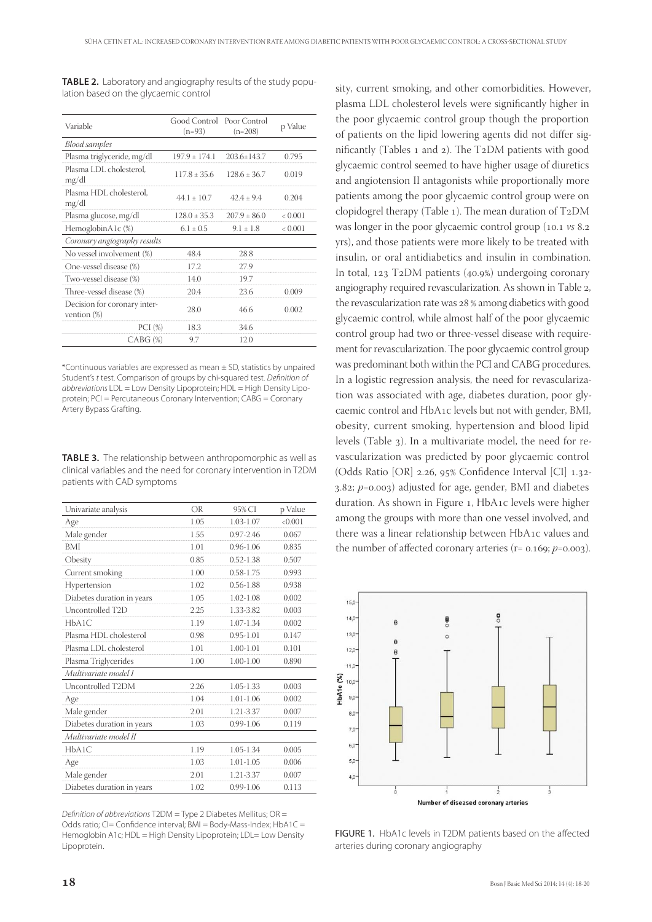| Variable                                       | Good Control<br>$(n=93)$ | Poor Control<br>$(n=208)$ | p Value |
|------------------------------------------------|--------------------------|---------------------------|---------|
| <b>Blood</b> samples                           |                          |                           |         |
| Plasma triglyceride, mg/dl                     | $197.9 \pm 174.1$        | $203.6 \pm 143.7$         | 0.795   |
| Plasma LDL cholesterol,<br>mg/dl               | $117.8 + 35.6$           | $128.6 + 36.7$            | 0.019   |
| Plasma HDL cholesterol,<br>mg/dl               | $441 + 107$              | $424 + 94$                | 0.204   |
| Plasma glucose, mg/dl                          | $128.0 \pm 35.3$         | $207.9 + 86.0$            | < 0.001 |
| HemoglobinA1c (%)                              | $6.1 \pm 0.5$            | $9.1 \pm 1.8$             | < 0.001 |
| Coronary angiography results                   |                          |                           |         |
| No vessel involvement (%)                      | 484                      | 28.8                      |         |
| One-vessel disease (%)                         | 172                      | 27.9                      |         |
| Two-vessel disease (%)                         | 140                      | 19.7                      |         |
| Three-vessel disease (%)                       | 20.4                     | 23.6                      | (1001)  |
| Decision for coronary inter-<br>vention $(\%)$ | 28.0                     | 466                       | 0.002   |
| PCI(%)                                         | 18.3                     | 34.6                      |         |
| $CABG (\%)$                                    | 9.7                      | 12.0                      |         |

**TABLE 2.** Laboratory and angiography results of the study population based on the glycaemic control

\*Continuous variables are expressed as mean ± SD, statistics by unpaired Student's t test. Comparison of groups by chi-squared test. Definition of abbreviations LDL = Low Density Lipoprotein; HDL = High Density Lipoprotein; PCI = Percutaneous Coronary Intervention; CABG = Coronary Artery Bypass Grafting.

**TABLE 3.** The relationship between anthropomorphic as well as clinical variables and the need for coronary intervention in T2DM patients with CAD symptoms

| Univariate analysis        | OR   | 95% CI        | p Value |
|----------------------------|------|---------------|---------|
| Age                        | 1.05 | 1.03-1.07     | < 0.001 |
| Male gender                | 1.55 | $0.97 - 2.46$ | 0.067   |
| BMI                        | 1.01 | $0.96 - 1.06$ | 0.835   |
| Obesity                    | 0.85 | $0.52 - 1.38$ | 0.507   |
| Current smoking            | 1.00 | $0.58 - 1.75$ | 0.993   |
| Hypertension               | 1.02 | $0.56 - 1.88$ | 0.938   |
| Diabetes duration in years | 1.05 | 1.02-1.08     | 0.002   |
| Uncontrolled T2D           | 2.25 | 1.33-3.82     | 0.003   |
| HbA1C                      | 1.19 | 1.07-1.34     | 0.002   |
| Plasma HDL cholesterol     | 0.98 | $0.95 - 1.01$ | 0.147   |
| Plasma LDL cholesterol     | 1.01 | $1.00 - 1.01$ | 0.101   |
| Plasma Triglycerides       | 1.00 | $1.00 - 1.00$ | 0.890   |
| Multivariate model I       |      |               |         |
| Uncontrolled T2DM          | 2.26 | 1.05-1.33     | 0.003   |
| Age                        | 1.04 | 1.01-1.06     | 0.002   |
| Male gender                | 2.01 | 1.21-3.37     | 0.007   |
| Diabetes duration in years | 1.03 | $0.99 - 1.06$ | 0.119   |
| Multivariate model II      |      |               |         |
| HbA1C                      | 1.19 | 1.05-1.34     | 0.005   |
| Age                        | 1.03 | $1.01 - 1.05$ | 0.006   |
| Male gender                | 2.01 | 1.21-3.37     | 0.007   |
| Diabetes duration in years | 1.02 | $0.99 - 1.06$ | 0.113   |

Definition of abbreviations T2DM = Type 2 Diabetes Mellitus;  $OR =$ Odds ratio; CI= Confidence interval; BMI = Body-Mass-Index; HbA1C = Hemoglobin A1c; HDL = High Density Lipoprotein; LDL= Low Density Lipoprotein.

sity, current smoking, and other comorbidities. However, plasma LDL cholesterol levels were significantly higher in the poor glycaemic control group though the proportion of patients on the lipid lowering agents did not differ significantly (Tables  $_1$  and  $_2$ ). The T<sub>2</sub>DM patients with good glycaemic control seemed to have higher usage of diuretics and angiotension II antagonists while proportionally more patients among the poor glycaemic control group were on clopidogrel therapy (Table 1). The mean duration of  $T_2DM$ was longer in the poor glycaemic control group (10.1  $\nu$ s 8.2 yrs), and those patients were more likely to be treated with insulin, or oral antidiabetics and insulin in combination. In total,  $123$  T<sub>2</sub>DM patients ( $40.9\%$ ) undergoing coronary angiography required revascularization. As shown in Table 2, the revascularization rate was 28 % among diabetics with good glycaemic control, while almost half of the poor glycaemic control group had two or three-vessel disease with requirement for revascularization. The poor glycaemic control group was predominant both within the PCI and CABG procedures. In a logistic regression analysis, the need for revascularization was associated with age, diabetes duration, poor glycaemic control and HbA1c levels but not with gender, BMI, obesity, current smoking, hypertension and blood lipid levels (Table ). In a multivariate model, the need for revascularization was predicted by poor glycaemic control (Odds Ratio [OR]  $2.26$ ,  $95\%$  Confidence Interval [CI]  $1.32$ - $3.82; p=0.003$ ) adjusted for age, gender, BMI and diabetes duration. As shown in Figure 1, HbA1c levels were higher among the groups with more than one vessel involved, and there was a linear relationship between HbA1c values and the number of affected coronary arteries  $(r= 0.169; p=0.003)$ .



FIGURE 1. HbA1c levels in T2DM patients based on the affected arteries during coronary angiography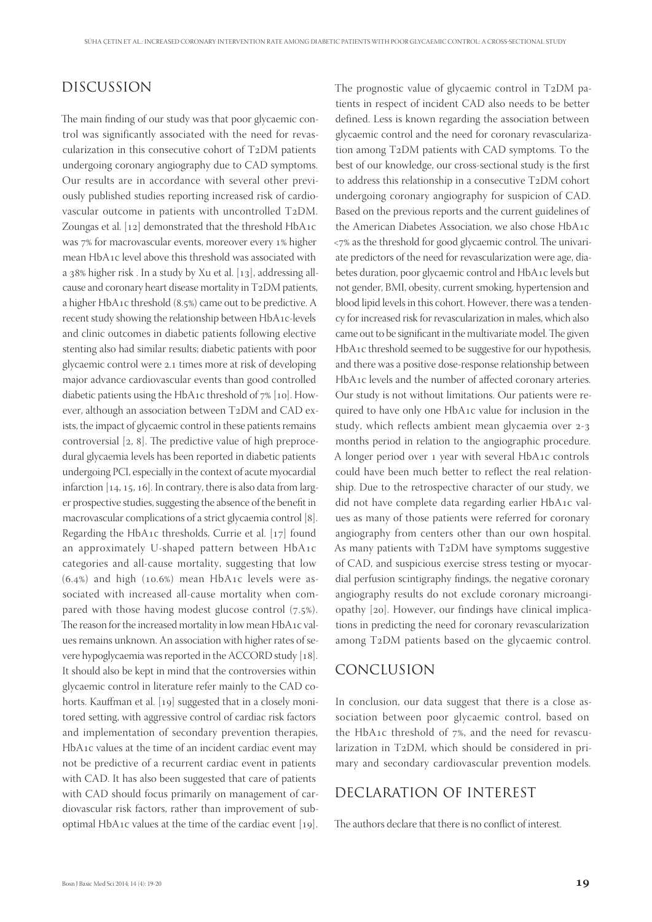# DISCUSSION

The main finding of our study was that poor glycaemic control was significantly associated with the need for revascularization in this consecutive cohort of  $T_2DM$  patients undergoing coronary angiography due to CAD symptoms. Our results are in accordance with several other previously published studies reporting increased risk of cardiovascular outcome in patients with uncontrolled T2DM. Zoungas et al.  $[12]$  demonstrated that the threshold HbA1c was 7% for macrovascular events, moreover every 1% higher mean HbA1c level above this threshold was associated with a  $38\%$  higher risk. In a study by Xu et al. [13], addressing allcause and coronary heart disease mortality in  $T_2DM$  patients, a higher  $HbA_1c$  threshold  $(8.5%)$  came out to be predictive. A recent study showing the relationship between HbA1c-levels and clinic outcomes in diabetic patients following elective stenting also had similar results; diabetic patients with poor glycaemic control were 2.1 times more at risk of developing major advance cardiovascular events than good controlled diabetic patients using the HbA1c threshold of  $7\%$  [10]. However, although an association between T2DM and CAD exists, the impact of glycaemic control in these patients remains controversial  $[2, 8]$ . The predictive value of high preprocedural glycaemia levels has been reported in diabetic patients undergoing PCI, especially in the context of acute myocardial infarction  $[14, 15, 16]$ . In contrary, there is also data from larger prospective studies, suggesting the absence of the benefit in macrovascular complications of a strict glycaemia control [8]. Regarding the HbA1c thresholds, Currie et al.  $[17]$  found an approximately U-shaped pattern between  $HbA_1c$ categories and all-cause mortality, suggesting that low  $(6.4%)$  and high  $(10.6%)$  mean HbA1c levels were associated with increased all-cause mortality when compared with those having modest glucose control  $(7.5\%)$ . The reason for the increased mortality in low mean HbA1c values remains unknown. An association with higher rates of severe hypoglycaemia was reported in the ACCORD study [18]. It should also be kept in mind that the controversies within glycaemic control in literature refer mainly to the CAD cohorts. Kauffman et al. [19] suggested that in a closely monitored setting, with aggressive control of cardiac risk factors and implementation of secondary prevention therapies, HbA1c values at the time of an incident cardiac event may not be predictive of a recurrent cardiac event in patients with CAD. It has also been suggested that care of patients with CAD should focus primarily on management of cardiovascular risk factors, rather than improvement of suboptimal HbA1c values at the time of the cardiac event  $[19]$ .

The prognostic value of glycaemic control in  $T_2DM$  patients in respect of incident CAD also needs to be better defined. Less is known regarding the association between glycaemic control and the need for coronary revascularization among T2DM patients with CAD symptoms. To the best of our knowledge, our cross-sectional study is the first to address this relationship in a consecutive T2DM cohort undergoing coronary angiography for suspicion of CAD. Based on the previous reports and the current guidelines of the American Diabetes Association, we also chose  $HbA_1c$  $\langle 7\%$  as the threshold for good glycaemic control. The univariate predictors of the need for revascularization were age, diabetes duration, poor glycaemic control and HbA1c levels but not gender, BMI, obesity, current smoking, hypertension and blood lipid levels in this cohort. However, there was a tendency for increased risk for revascularization in males, which also came out to be significant in the multivariate model. The given HbA1c threshold seemed to be suggestive for our hypothesis, and there was a positive dose-response relationship between HbA1c levels and the number of affected coronary arteries. Our study is not without limitations. Our patients were required to have only one HbA1c value for inclusion in the study, which reflects ambient mean glycaemia over 2-3 months period in relation to the angiographic procedure. A longer period over 1 year with several HbA1c controls could have been much better to reflect the real relationship. Due to the retrospective character of our study, we did not have complete data regarding earlier HbA1c values as many of those patients were referred for coronary angiography from centers other than our own hospital. As many patients with  $T_2DM$  have symptoms suggestive of CAD, and suspicious exercise stress testing or myocardial perfusion scintigraphy findings, the negative coronary angiography results do not exclude coronary microangiopathy  $[20]$ . However, our findings have clinical implications in predicting the need for coronary revascularization among T2DM patients based on the glycaemic control.

### CONCLUSION

In conclusion, our data suggest that there is a close association between poor glycaemic control, based on the HbA1c threshold of  $7\%$ , and the need for revascularization in T2DM, which should be considered in primary and secondary cardiovascular prevention models.

### DECLARATION OF INTEREST

The authors declare that there is no conflict of interest.